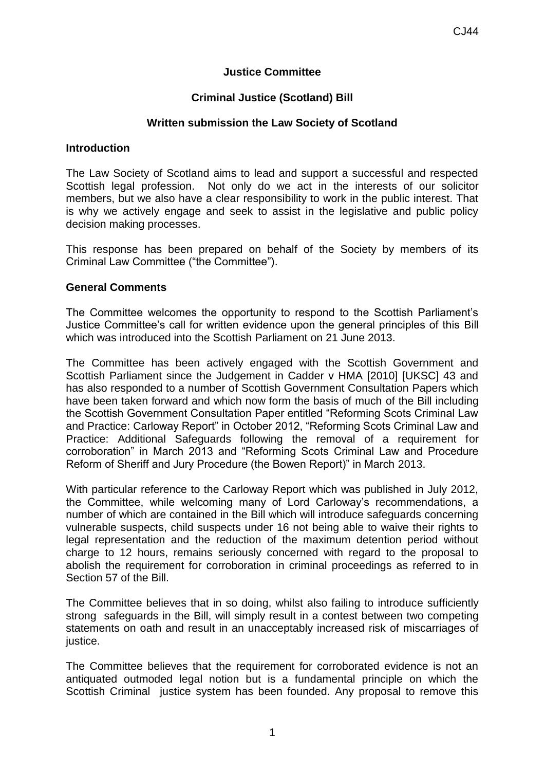## **Justice Committee**

## **Criminal Justice (Scotland) Bill**

#### **Written submission the Law Society of Scotland**

#### **Introduction**

The Law Society of Scotland aims to lead and support a successful and respected Scottish legal profession. Not only do we act in the interests of our solicitor members, but we also have a clear responsibility to work in the public interest. That is why we actively engage and seek to assist in the legislative and public policy decision making processes.

This response has been prepared on behalf of the Society by members of its Criminal Law Committee ("the Committee").

#### **General Comments**

The Committee welcomes the opportunity to respond to the Scottish Parliament's Justice Committee's call for written evidence upon the general principles of this Bill which was introduced into the Scottish Parliament on 21 June 2013.

The Committee has been actively engaged with the Scottish Government and Scottish Parliament since the Judgement in Cadder v HMA [2010] [UKSC] 43 and has also responded to a number of Scottish Government Consultation Papers which have been taken forward and which now form the basis of much of the Bill including the Scottish Government Consultation Paper entitled "Reforming Scots Criminal Law and Practice: Carloway Report" in October 2012, "Reforming Scots Criminal Law and Practice: Additional Safeguards following the removal of a requirement for corroboration" in March 2013 and "Reforming Scots Criminal Law and Procedure Reform of Sheriff and Jury Procedure (the Bowen Report)" in March 2013.

With particular reference to the Carloway Report which was published in July 2012, the Committee, while welcoming many of Lord Carloway's recommendations, a number of which are contained in the Bill which will introduce safeguards concerning vulnerable suspects, child suspects under 16 not being able to waive their rights to legal representation and the reduction of the maximum detention period without charge to 12 hours, remains seriously concerned with regard to the proposal to abolish the requirement for corroboration in criminal proceedings as referred to in Section 57 of the Bill.

The Committee believes that in so doing, whilst also failing to introduce sufficiently strong safeguards in the Bill, will simply result in a contest between two competing statements on oath and result in an unacceptably increased risk of miscarriages of justice.

The Committee believes that the requirement for corroborated evidence is not an antiquated outmoded legal notion but is a fundamental principle on which the Scottish Criminal justice system has been founded. Any proposal to remove this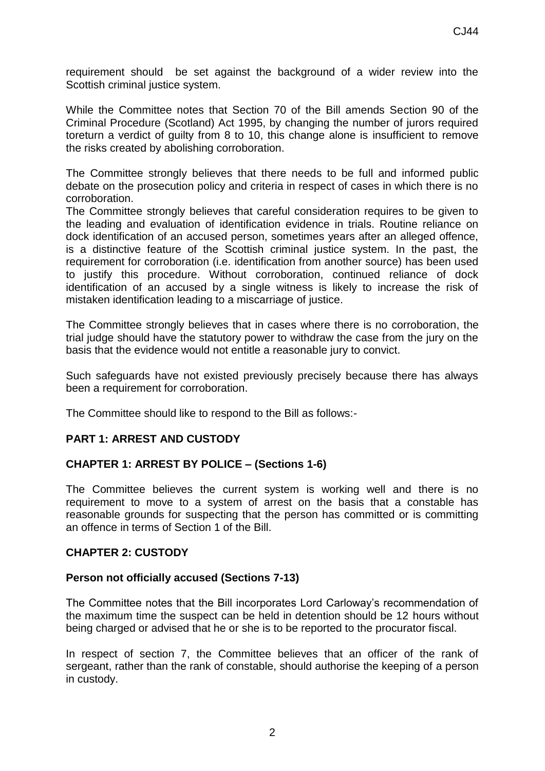requirement should be set against the background of a wider review into the Scottish criminal justice system.

While the Committee notes that Section 70 of the Bill amends Section 90 of the Criminal Procedure (Scotland) Act 1995, by changing the number of jurors required toreturn a verdict of guilty from 8 to 10, this change alone is insufficient to remove the risks created by abolishing corroboration.

The Committee strongly believes that there needs to be full and informed public debate on the prosecution policy and criteria in respect of cases in which there is no corroboration.

The Committee strongly believes that careful consideration requires to be given to the leading and evaluation of identification evidence in trials. Routine reliance on dock identification of an accused person, sometimes years after an alleged offence, is a distinctive feature of the Scottish criminal justice system. In the past, the requirement for corroboration (i.e. identification from another source) has been used to justify this procedure. Without corroboration, continued reliance of dock identification of an accused by a single witness is likely to increase the risk of mistaken identification leading to a miscarriage of justice.

The Committee strongly believes that in cases where there is no corroboration, the trial judge should have the statutory power to withdraw the case from the jury on the basis that the evidence would not entitle a reasonable jury to convict.

Such safeguards have not existed previously precisely because there has always been a requirement for corroboration.

The Committee should like to respond to the Bill as follows:-

#### **PART 1: ARREST AND CUSTODY**

# **CHAPTER 1: ARREST BY POLICE – (Sections 1-6)**

The Committee believes the current system is working well and there is no requirement to move to a system of arrest on the basis that a constable has reasonable grounds for suspecting that the person has committed or is committing an offence in terms of Section 1 of the Bill.

# **CHAPTER 2: CUSTODY**

#### **Person not officially accused (Sections 7-13)**

The Committee notes that the Bill incorporates Lord Carloway's recommendation of the maximum time the suspect can be held in detention should be 12 hours without being charged or advised that he or she is to be reported to the procurator fiscal.

In respect of section 7, the Committee believes that an officer of the rank of sergeant, rather than the rank of constable, should authorise the keeping of a person in custody.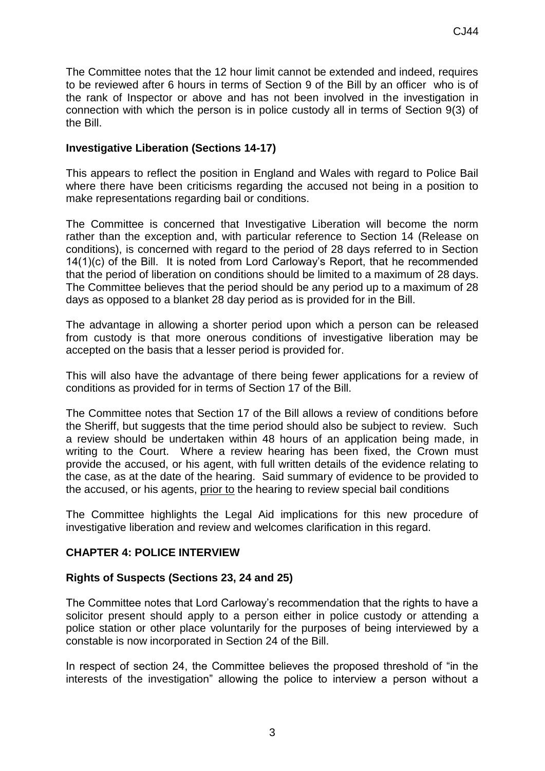The Committee notes that the 12 hour limit cannot be extended and indeed, requires to be reviewed after 6 hours in terms of Section 9 of the Bill by an officer who is of the rank of Inspector or above and has not been involved in the investigation in connection with which the person is in police custody all in terms of Section 9(3) of the Bill.

# **Investigative Liberation (Sections 14-17)**

This appears to reflect the position in England and Wales with regard to Police Bail where there have been criticisms regarding the accused not being in a position to make representations regarding bail or conditions.

The Committee is concerned that Investigative Liberation will become the norm rather than the exception and, with particular reference to Section 14 (Release on conditions), is concerned with regard to the period of 28 days referred to in Section 14(1)(c) of the Bill. It is noted from Lord Carloway's Report, that he recommended that the period of liberation on conditions should be limited to a maximum of 28 days. The Committee believes that the period should be any period up to a maximum of 28 days as opposed to a blanket 28 day period as is provided for in the Bill.

The advantage in allowing a shorter period upon which a person can be released from custody is that more onerous conditions of investigative liberation may be accepted on the basis that a lesser period is provided for.

This will also have the advantage of there being fewer applications for a review of conditions as provided for in terms of Section 17 of the Bill.

The Committee notes that Section 17 of the Bill allows a review of conditions before the Sheriff, but suggests that the time period should also be subject to review. Such a review should be undertaken within 48 hours of an application being made, in writing to the Court. Where a review hearing has been fixed, the Crown must provide the accused, or his agent, with full written details of the evidence relating to the case, as at the date of the hearing. Said summary of evidence to be provided to the accused, or his agents, prior to the hearing to review special bail conditions

The Committee highlights the Legal Aid implications for this new procedure of investigative liberation and review and welcomes clarification in this regard.

#### **CHAPTER 4: POLICE INTERVIEW**

#### **Rights of Suspects (Sections 23, 24 and 25)**

The Committee notes that Lord Carloway's recommendation that the rights to have a solicitor present should apply to a person either in police custody or attending a police station or other place voluntarily for the purposes of being interviewed by a constable is now incorporated in Section 24 of the Bill.

In respect of section 24, the Committee believes the proposed threshold of "in the interests of the investigation" allowing the police to interview a person without a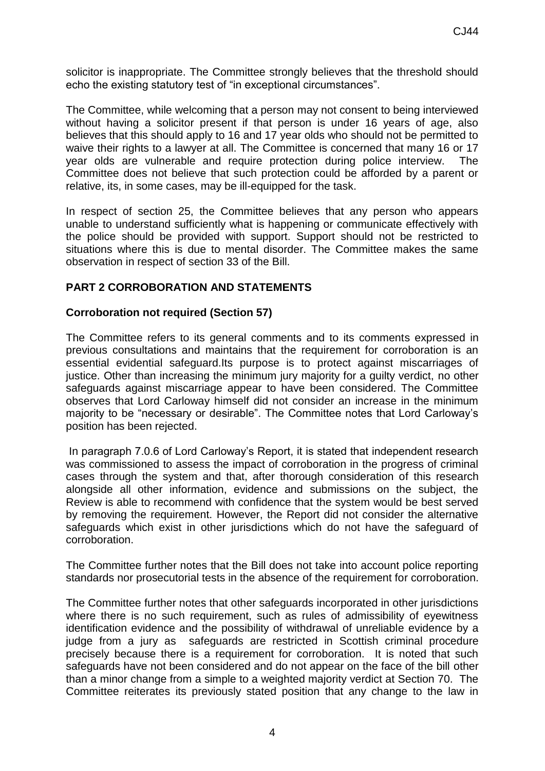solicitor is inappropriate. The Committee strongly believes that the threshold should echo the existing statutory test of "in exceptional circumstances".

The Committee, while welcoming that a person may not consent to being interviewed without having a solicitor present if that person is under 16 years of age, also believes that this should apply to 16 and 17 year olds who should not be permitted to waive their rights to a lawyer at all. The Committee is concerned that many 16 or 17 year olds are vulnerable and require protection during police interview. The Committee does not believe that such protection could be afforded by a parent or relative, its, in some cases, may be ill-equipped for the task.

In respect of section 25, the Committee believes that any person who appears unable to understand sufficiently what is happening or communicate effectively with the police should be provided with support. Support should not be restricted to situations where this is due to mental disorder. The Committee makes the same observation in respect of section 33 of the Bill.

# **PART 2 CORROBORATION AND STATEMENTS**

#### **Corroboration not required (Section 57)**

The Committee refers to its general comments and to its comments expressed in previous consultations and maintains that the requirement for corroboration is an essential evidential safeguard.Its purpose is to protect against miscarriages of justice. Other than increasing the minimum jury majority for a guilty verdict, no other safeguards against miscarriage appear to have been considered. The Committee observes that Lord Carloway himself did not consider an increase in the minimum majority to be "necessary or desirable". The Committee notes that Lord Carloway's position has been rejected.

In paragraph 7.0.6 of Lord Carloway's Report, it is stated that independent research was commissioned to assess the impact of corroboration in the progress of criminal cases through the system and that, after thorough consideration of this research alongside all other information, evidence and submissions on the subject, the Review is able to recommend with confidence that the system would be best served by removing the requirement. However, the Report did not consider the alternative safeguards which exist in other jurisdictions which do not have the safeguard of corroboration.

The Committee further notes that the Bill does not take into account police reporting standards nor prosecutorial tests in the absence of the requirement for corroboration.

The Committee further notes that other safeguards incorporated in other jurisdictions where there is no such requirement, such as rules of admissibility of eyewitness identification evidence and the possibility of withdrawal of unreliable evidence by a judge from a jury as safeguards are restricted in Scottish criminal procedure precisely because there is a requirement for corroboration. It is noted that such safeguards have not been considered and do not appear on the face of the bill other than a minor change from a simple to a weighted majority verdict at Section 70. The Committee reiterates its previously stated position that any change to the law in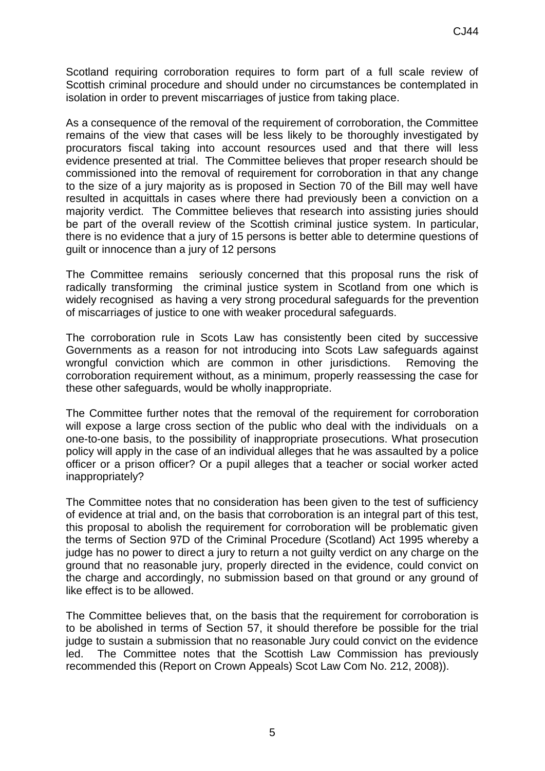Scotland requiring corroboration requires to form part of a full scale review of Scottish criminal procedure and should under no circumstances be contemplated in isolation in order to prevent miscarriages of justice from taking place.

As a consequence of the removal of the requirement of corroboration, the Committee remains of the view that cases will be less likely to be thoroughly investigated by procurators fiscal taking into account resources used and that there will less evidence presented at trial. The Committee believes that proper research should be commissioned into the removal of requirement for corroboration in that any change to the size of a jury majority as is proposed in Section 70 of the Bill may well have resulted in acquittals in cases where there had previously been a conviction on a majority verdict. The Committee believes that research into assisting juries should be part of the overall review of the Scottish criminal justice system. In particular, there is no evidence that a jury of 15 persons is better able to determine questions of guilt or innocence than a jury of 12 persons

The Committee remains seriously concerned that this proposal runs the risk of radically transforming the criminal justice system in Scotland from one which is widely recognised as having a very strong procedural safeguards for the prevention of miscarriages of justice to one with weaker procedural safeguards.

The corroboration rule in Scots Law has consistently been cited by successive Governments as a reason for not introducing into Scots Law safeguards against wrongful conviction which are common in other jurisdictions. Removing the corroboration requirement without, as a minimum, properly reassessing the case for these other safeguards, would be wholly inappropriate.

The Committee further notes that the removal of the requirement for corroboration will expose a large cross section of the public who deal with the individuals on a one-to-one basis, to the possibility of inappropriate prosecutions. What prosecution policy will apply in the case of an individual alleges that he was assaulted by a police officer or a prison officer? Or a pupil alleges that a teacher or social worker acted inappropriately?

The Committee notes that no consideration has been given to the test of sufficiency of evidence at trial and, on the basis that corroboration is an integral part of this test, this proposal to abolish the requirement for corroboration will be problematic given the terms of Section 97D of the Criminal Procedure (Scotland) Act 1995 whereby a judge has no power to direct a jury to return a not guilty verdict on any charge on the ground that no reasonable jury, properly directed in the evidence, could convict on the charge and accordingly, no submission based on that ground or any ground of like effect is to be allowed.

The Committee believes that, on the basis that the requirement for corroboration is to be abolished in terms of Section 57, it should therefore be possible for the trial judge to sustain a submission that no reasonable Jury could convict on the evidence led. The Committee notes that the Scottish Law Commission has previously recommended this (Report on Crown Appeals) Scot Law Com No. 212, 2008)).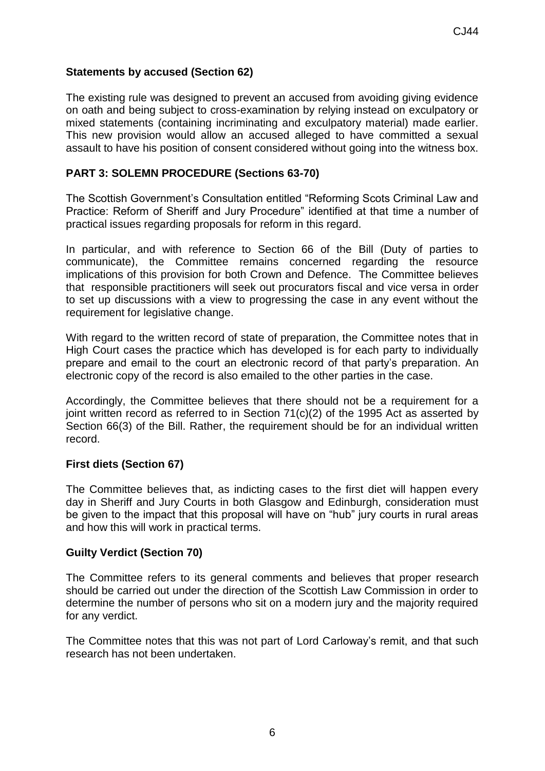# **Statements by accused (Section 62)**

The existing rule was designed to prevent an accused from avoiding giving evidence on oath and being subject to cross-examination by relying instead on exculpatory or mixed statements (containing incriminating and exculpatory material) made earlier. This new provision would allow an accused alleged to have committed a sexual assault to have his position of consent considered without going into the witness box.

# **PART 3: SOLEMN PROCEDURE (Sections 63-70)**

The Scottish Government's Consultation entitled "Reforming Scots Criminal Law and Practice: Reform of Sheriff and Jury Procedure" identified at that time a number of practical issues regarding proposals for reform in this regard.

In particular, and with reference to Section 66 of the Bill (Duty of parties to communicate), the Committee remains concerned regarding the resource implications of this provision for both Crown and Defence. The Committee believes that responsible practitioners will seek out procurators fiscal and vice versa in order to set up discussions with a view to progressing the case in any event without the requirement for legislative change.

With regard to the written record of state of preparation, the Committee notes that in High Court cases the practice which has developed is for each party to individually prepare and email to the court an electronic record of that party's preparation. An electronic copy of the record is also emailed to the other parties in the case.

Accordingly, the Committee believes that there should not be a requirement for a joint written record as referred to in Section 71(c)(2) of the 1995 Act as asserted by Section 66(3) of the Bill. Rather, the requirement should be for an individual written record.

# **First diets (Section 67)**

The Committee believes that, as indicting cases to the first diet will happen every day in Sheriff and Jury Courts in both Glasgow and Edinburgh, consideration must be given to the impact that this proposal will have on "hub" jury courts in rural areas and how this will work in practical terms.

# **Guilty Verdict (Section 70)**

The Committee refers to its general comments and believes that proper research should be carried out under the direction of the Scottish Law Commission in order to determine the number of persons who sit on a modern jury and the majority required for any verdict.

The Committee notes that this was not part of Lord Carloway's remit, and that such research has not been undertaken.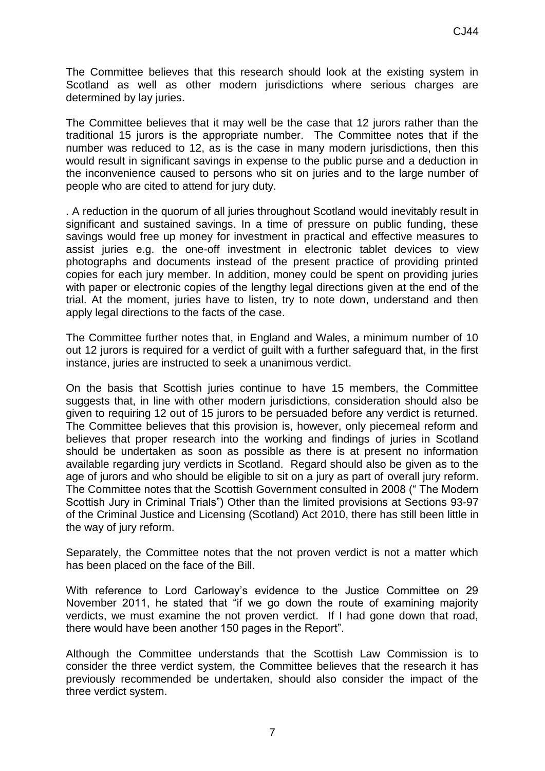The Committee believes that this research should look at the existing system in Scotland as well as other modern jurisdictions where serious charges are determined by lay juries.

The Committee believes that it may well be the case that 12 jurors rather than the traditional 15 jurors is the appropriate number. The Committee notes that if the number was reduced to 12, as is the case in many modern jurisdictions, then this would result in significant savings in expense to the public purse and a deduction in the inconvenience caused to persons who sit on juries and to the large number of people who are cited to attend for jury duty.

. A reduction in the quorum of all juries throughout Scotland would inevitably result in significant and sustained savings. In a time of pressure on public funding, these savings would free up money for investment in practical and effective measures to assist juries e.g. the one-off investment in electronic tablet devices to view photographs and documents instead of the present practice of providing printed copies for each jury member. In addition, money could be spent on providing juries with paper or electronic copies of the lengthy legal directions given at the end of the trial. At the moment, juries have to listen, try to note down, understand and then apply legal directions to the facts of the case.

The Committee further notes that, in England and Wales, a minimum number of 10 out 12 jurors is required for a verdict of guilt with a further safeguard that, in the first instance, juries are instructed to seek a unanimous verdict.

On the basis that Scottish juries continue to have 15 members, the Committee suggests that, in line with other modern jurisdictions, consideration should also be given to requiring 12 out of 15 jurors to be persuaded before any verdict is returned. The Committee believes that this provision is, however, only piecemeal reform and believes that proper research into the working and findings of juries in Scotland should be undertaken as soon as possible as there is at present no information available regarding jury verdicts in Scotland. Regard should also be given as to the age of jurors and who should be eligible to sit on a jury as part of overall jury reform. The Committee notes that the Scottish Government consulted in 2008 (" The Modern Scottish Jury in Criminal Trials") Other than the limited provisions at Sections 93-97 of the Criminal Justice and Licensing (Scotland) Act 2010, there has still been little in the way of jury reform.

Separately, the Committee notes that the not proven verdict is not a matter which has been placed on the face of the Bill.

With reference to Lord Carloway's evidence to the Justice Committee on 29 November 2011, he stated that "if we go down the route of examining majority verdicts, we must examine the not proven verdict. If I had gone down that road, there would have been another 150 pages in the Report".

Although the Committee understands that the Scottish Law Commission is to consider the three verdict system, the Committee believes that the research it has previously recommended be undertaken, should also consider the impact of the three verdict system.